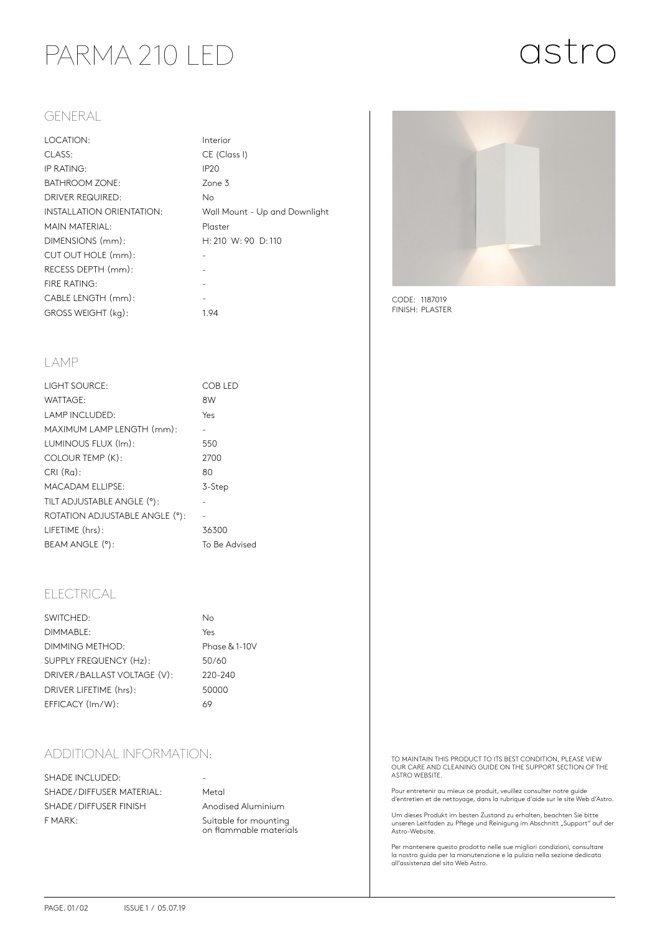### PARMA 210 LED

# astro

#### GENERAL

| LOCATION:                 | Interior                      |
|---------------------------|-------------------------------|
| CLASS:                    | CE (Class I)                  |
| IP RATING:                | IP <sub>20</sub>              |
| <b>BATHROOM ZONE:</b>     | Zone 3                        |
| DRIVER REQUIRED:          | No.                           |
| INSTALLATION ORIENTATION: | Wall Mount - Up and Downlight |
| MAIN MATERIAL:            | Plaster                       |
| DIMENSIONS (mm):          | H: 210 W: 90 D: 110           |
| CUT OUT HOLE (mm):        |                               |
| RECESS DEPTH (mm):        |                               |
| FIRE RATING:              |                               |
| CABLE LENGTH (mm):        |                               |
| GROSS WEIGHT (kg):        | 1.94                          |
|                           |                               |



CODE: 1187019 FINISH: PLASTER

#### LAMP

| LIGHT SOURCE:                  | COB LED       |
|--------------------------------|---------------|
| WATTAGE:                       | 8W            |
| <b>LAMP INCLUDED:</b>          | Yes           |
| MAXIMUM LAMP LENGTH (mm):      |               |
| LUMINOUS FLUX (Im):            | 550           |
| COLOUR TEMP (K):               | 2700          |
| $CRI(Ra)$ :                    | 80            |
| <b>MACADAM ELLIPSE:</b>        | 3-Step        |
| TILT ADJUSTABLE ANGLE (°):     |               |
| ROTATION ADJUSTABLE ANGLE (°): |               |
| LIFETIME (hrs):                | 36300         |
| BEAM ANGLE (°):                | To Be Advised |
|                                |               |

### ELECTRICAL

| SWITCHED:                   | No            |
|-----------------------------|---------------|
| DIMMABLE:                   | Yes           |
| DIMMING METHOD:             | Phase & 1-10V |
| SUPPLY FREQUENCY (Hz):      | 50/60         |
| DRIVER/BALLAST VOLTAGE (V): | 220-240       |
| DRIVER LIFETIME (hrs):      | 50000         |
| EFFICACY (Im/W):            | 69            |

### ADDITIONAL INFORMATION:

SHADE INCLUDED: SHADE / DIFFUSER MATERIAL: Metal SHADE / DIFFUSER FINISH Anodised Aluminium F MARK: Suitable for mounting

on flammable materials

TO MAINTAIN THIS PRODUCT TO ITS BEST CONDITION, PLEASE VIEW OUR CARE AND CLEANING GUIDE ON THE SUPPORT SECTION OF THE ASTRO WEBSITE.

Pour entretenir au mieux ce produit, veuillez consulter notre guide d'entretien et de nettoyage, dans la rubrique d'aide sur le site Web d'Astro.

Um dieses Produkt im besten Zustand zu erhalten, beachten Sie bitte unseren Leitfaden zu Pflege und Reinigung im Abschnitt "Support" auf der<br>Astro-Website.

Per mantenere questo prodotto nelle sue migliori condizioni, consultare la nostra guida per la manutenzione e la pulizia nella sezione dedicata all'assistenza del sito Web Astro.